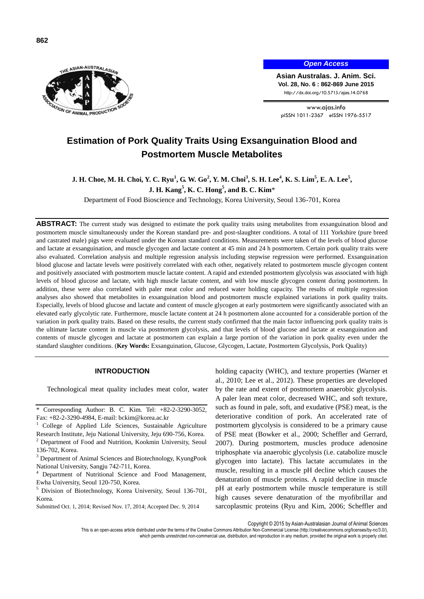



*Open Access*

**Asian Australas. J. Anim. Sci. Vol. 28, No. 6 : 862-869 June 2015** http://dx.doi.org/10.5713/ajas.14.0768

www.ajas.info pISSN 1011-2367 eISSN 1976-5517

# **Estimation of Pork Quality Traits Using Exsanguination Blood and Postmortem Muscle Metabolites**

# **J. H.** Choe, M. H. Choi, Y. C. Ryu<sup>1</sup>, G. W. Go<sup>2</sup>, Y. M. Choi<sup>3</sup>, S. H. Lee<sup>4</sup>, K. S. Lim<sup>5</sup>, E. A. Lee<sup>5</sup>, **J. H. Kang<sup>5</sup> , K. C. Hong<sup>5</sup> , and B. C. Kim**\*

Department of Food Bioscience and Technology, Korea University, Seoul 136-701, Korea

**ABSTRACT:** The current study was designed to estimate the pork quality traits using metabolites from exsanguination blood and postmortem muscle simultaneously under the Korean standard pre- and post-slaughter conditions. A total of 111 Yorkshire (pure breed and castrated male) pigs were evaluated under the Korean standard conditions. Measurements were taken of the levels of blood glucose and lactate at exsanguination, and muscle glycogen and lactate content at 45 min and 24 h postmortem. Certain pork quality traits were also evaluated. Correlation analysis and multiple regression analysis including stepwise regression were performed. Exsanguination blood glucose and lactate levels were positively correlated with each other, negatively related to postmortem muscle glycogen content and positively associated with postmortem muscle lactate content. A rapid and extended postmortem glycolysis was associated with high levels of blood glucose and lactate, with high muscle lactate content, and with low muscle glycogen content during postmortem. In addition, these were also correlated with paler meat color and reduced water holding capacity. The results of multiple regression analyses also showed that metabolites in exsanguination blood and postmortem muscle explained variations in pork quality traits. Especially, levels of blood glucose and lactate and content of muscle glycogen at early postmortem were significantly associated with an elevated early glycolytic rate. Furthermore, muscle lactate content at 24 h postmortem alone accounted for a considerable portion of the variation in pork quality traits. Based on these results, the current study confirmed that the main factor influencing pork quality traits is the ultimate lactate content in muscle via postmortem glycolysis, and that levels of blood glucose and lactate at exsanguination and contents of muscle glycogen and lactate at postmortem can explain a large portion of the variation in pork quality even under the standard slaughter conditions. (**Key Words:** Exsanguination, Glucose, Glycogen, Lactate, Postmortem Glycolysis, Pork Quality)

#### **INTRODUCTION**

Technological meat quality includes meat color, water

- <sup>1</sup> College of Applied Life Sciences, Sustainable Agriculture Research Institute, Jeju National University, Jeju 690-756, Korea.
- <sup>2</sup> Department of Food and Nutrition, Kookmin University, Seoul 136-702, Korea.
- <sup>3</sup> Department of Animal Sciences and Biotechnology, KyungPook National University, Sangju 742-711, Korea.
- Department of Nutritional Science and Food Management, Ewha University, Seoul 120-750, Korea.
- <sup>5</sup> Division of Biotechnology, Korea University, Seoul 136-701, Korea.
- Submitted Oct. 1, 2014; Revised Nov. 17, 2014; Accepted Dec. 9, 2014

holding capacity (WHC), and texture properties (Warner et al., 2010; Lee et al., 2012). These properties are developed by the rate and extent of postmortem anaerobic glycolysis. A paler lean meat color, decreased WHC, and soft texture, such as found in pale, soft, and exudative (PSE) meat, is the deteriorative condition of pork. An accelerated rate of postmortem glycolysis is considered to be a primary cause of PSE meat (Bowker et al., 2000; Scheffler and Gerrard, 2007). During postmortem, muscles produce adenosine triphosphate via anaerobic glycolysis (i.e. catabolize muscle glycogen into lactate). This lactate accumulates in the muscle, resulting in a muscle pH decline which causes the denaturation of muscle proteins. A rapid decline in muscle pH at early postmortem while muscle temperature is still high causes severe denaturation of the myofibrillar and sarcoplasmic proteins (Ryu and Kim, 2006; Scheffler and

Copyright © 2015 by Asian-Australasian Journal of Animal Sciences

This is an open-access article distributed under the terms of the Creative Commons Attribution Non-Commercial License [\(http://creativecommons.org/licenses/by-nc/3.0/\),](http://creativecommons.org/licenses/by-nc/3.0/) which permits unrestricted non-commercial use, distribution, and reproduction in any medium, provided the original work is properly cited.

<sup>\*</sup> Corresponding Author: B. C. Kim. Tel: +82-2-3290-3052, Fax: +82-2-3290-4984, E-mail: bckim@korea.ac.kr<br><sup>1</sup> College of Applied Life Sciences, Sustainabl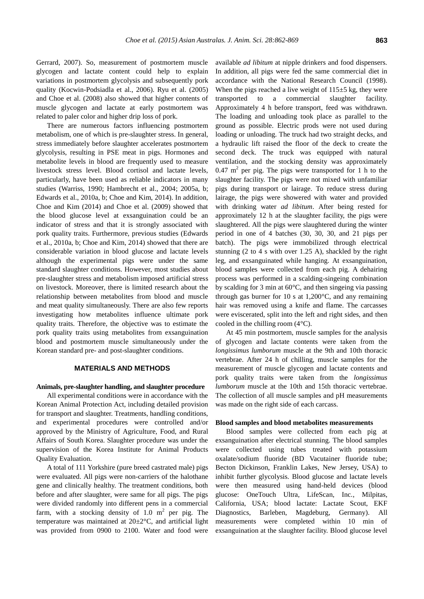Gerrard, 2007). So, measurement of postmortem muscle glycogen and lactate content could help to explain variations in postmortem glycolysis and subsequently pork quality (Kocwin-Podsiadla et al., 2006). Ryu et al. (2005) and Choe et al. (2008) also showed that higher contents of muscle glycogen and lactate at early postmortem was related to paler color and higher drip loss of pork.

There are numerous factors influencing postmortem metabolism, one of which is pre-slaughter stress. In general, stress immediately before slaughter accelerates postmortem glycolysis, resulting in PSE meat in pigs. Hormones and metabolite levels in blood are frequently used to measure livestock stress level. Blood cortisol and lactate levels, particularly, have been used as reliable indicators in many studies (Warriss, 1990; Hambrecht et al., 2004; 2005a, b; Edwards et al., 2010a, b; Choe and Kim, 2014). In addition, Choe and Kim (2014) and Choe et al. (2009) showed that the blood glucose level at exsanguination could be an indicator of stress and that it is strongly associated with pork quality traits. Furthermore, previous studies (Edwards et al., 2010a, b; Choe and Kim, 2014) showed that there are considerable variation in blood glucose and lactate levels although the experimental pigs were under the same standard slaughter conditions. However, most studies about pre-slaughter stress and metabolism imposed artificial stress on livestock. Moreover, there is limited research about the relationship between metabolites from blood and muscle and meat quality simultaneously. There are also few reports investigating how metabolites influence ultimate pork quality traits. Therefore, the objective was to estimate the pork quality traits using metabolites from exsanguination blood and postmortem muscle simultaneously under the Korean standard pre- and post-slaughter conditions.

## **MATERIALS AND METHODS**

#### **Animals, pre-slaughter handling, and slaughter procedure**

All experimental conditions were in accordance with the Korean Animal Protection Act, including detailed provision for transport and slaughter. Treatments, handling conditions, and experimental procedures were controlled and/or approved by the Ministry of Agriculture, Food, and Rural Affairs of South Korea. Slaughter procedure was under the supervision of the Korea Institute for Animal Products Quality Evaluation.

A total of 111 Yorkshire (pure breed castrated male) pigs were evaluated. All pigs were non-carriers of the halothane gene and clinically healthy. The treatment conditions, both before and after slaughter, were same for all pigs. The pigs were divided randomly into different pens in a commercial farm, with a stocking density of 1.0  $m^2$  per pig. The temperature was maintained at  $20\pm2\degree C$ , and artificial light was provided from 0900 to 2100. Water and food were

available *ad libitum* at nipple drinkers and food dispensers. In addition, all pigs were fed the same commercial diet in accordance with the National Research Council (1998). When the pigs reached a live weight of  $115±5$  kg, they were transported to a commercial slaughter facility. Approximately 4 h before transport, feed was withdrawn. The loading and unloading took place as parallel to the ground as possible. Electric prods were not used during loading or unloading. The truck had two straight decks, and a hydraulic lift raised the floor of the deck to create the second deck. The truck was equipped with natural ventilation, and the stocking density was approximately 0.47  $m<sup>2</sup>$  per pig. The pigs were transported for 1 h to the slaughter facility. The pigs were not mixed with unfamiliar pigs during transport or lairage. To reduce stress during lairage, the pigs were showered with water and provided with drinking water *ad libitum*. After being rested for approximately 12 h at the slaughter facility, the pigs were slaughtered. All the pigs were slaughtered during the winter period in one of 4 batches (30, 30, 30, and 21 pigs per batch). The pigs were immobilized through electrical stunning (2 to 4 s with over 1.25 A), shackled by the right leg, and exsanguinated while hanging. At exsanguination, blood samples were collected from each pig. A dehairing process was performed in a scalding-singeing combination by scalding for 3 min at 60°C, and then singeing via passing through gas burner for 10 s at 1,200 $^{\circ}$ C, and any remaining hair was removed using a knife and flame. The carcasses were eviscerated, split into the left and right sides, and then cooled in the chilling room (4°C).

At 45 min postmortem, muscle samples for the analysis of glycogen and lactate contents were taken from the *longissimus lumborum* muscle at the 9th and 10th thoracic vertebrae. After 24 h of chilling, muscle samples for the measurement of muscle glycogen and lactate contents and pork quality traits were taken from the *longissimus lumborum* muscle at the 10th and 15th thoracic vertebrae. The collection of all muscle samples and pH measurements was made on the right side of each carcass.

#### **Blood samples and blood metabolites measurements**

Blood samples were collected from each pig at exsanguination after electrical stunning. The blood samples were collected using tubes treated with potassium oxalate/sodium fluoride (BD Vacutainer fluoride tube; Becton Dickinson, Franklin Lakes, New Jersey, USA) to inhibit further glycolysis. Blood glucose and lactate levels were then measured using hand-held devices (blood glucose: OneTouch Ultra, LifeScan, Inc., Milpitas, California, USA; blood lactate: Lactate Scout, EKF Diagnostics, Barleben, Magdeburg, Germany). All measurements were completed within 10 min of exsanguination at the slaughter facility. Blood glucose level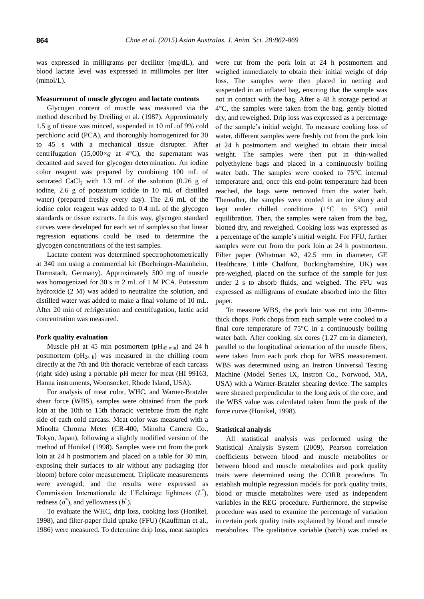was expressed in milligrams per deciliter (mg/dL), and blood lactate level was expressed in millimoles per liter (mmol/L).

#### **Measurement of muscle glycogen and lactate contents**

Glycogen content of muscle was measured via the method described by Dreiling et al. (1987). Approximately 1.5 g of tissue was minced, suspended in 10 mL of 9% cold perchloric acid (PCA), and thoroughly homogenized for 30 to 45 s with a mechanical tissue disrupter. After centrifugation  $(15,000 \times g)$  at 4<sup>o</sup>C), the supernatant was decanted and saved for glycogen determination. An iodine color reagent was prepared by combining 100 mL of saturated CaCl<sub>2</sub> with 1.3 mL of the solution  $(0.26 \text{ g of})$ iodine, 2.6 g of potassium iodide in 10 mL of distilled water) (prepared freshly every day). The 2.6 mL of the iodine color reagent was added to 0.4 mL of the glycogen standards or tissue extracts. In this way, glycogen standard curves were developed for each set of samples so that linear regression equations could be used to determine the glycogen concentrations of the test samples.

Lactate content was determined spectrophotometrically at 340 nm using a commercial kit (Boehringer-Mannheim, Darmstadt, Germany). Approximately 500 mg of muscle was homogenized for 30 s in 2 mL of 1 M PCA. Potassium hydroxide (2 M) was added to neutralize the solution, and distilled water was added to make a final volume of 10 mL. After 20 min of refrigeration and centrifugation, lactic acid concentration was measured.

#### **Pork quality evaluation**

Muscle pH at 45 min postmortem ( $pH_{45 \text{ min}}$ ) and 24 h postmortem ( $pH_{24 h}$ ) was measured in the chilling room directly at the 7th and 8th thoracic vertebrae of each carcass (right side) using a portable pH meter for meat (HI 99163, Hanna instruments, Woonsocket, Rhode Island, USA).

For analysis of meat color, WHC, and Warner-Bratzler shear force (WBS), samples were obtained from the pork loin at the 10th to 15th thoracic vertebrae from the right side of each cold carcass. Meat color was measured with a Minolta Chroma Meter (CR-400, Minolta Camera Co., Tokyo, Japan), following a slightly modified version of the method of Honikel (1998). Samples were cut from the pork loin at 24 h postmortem and placed on a table for 30 min, exposing their surfaces to air without any packaging (for bloom) before color measurement. Triplicate measurements were averaged, and the results were expressed as Commission Internationale de l'Eclairage lightness (L<sup>\*</sup>), redness  $(a^*)$ , and yellowness  $(b^*)$ .

To evaluate the WHC, drip loss, cooking loss (Honikel, 1998), and filter-paper fluid uptake (FFU) (Kauffman et al., 1986) were measured. To determine drip loss, meat samples were cut from the pork loin at 24 h postmortem and weighed immediately to obtain their initial weight of drip loss. The samples were then placed in netting and suspended in an inflated bag, ensuring that the sample was not in contact with the bag. After a 48 h storage period at 4°C, the samples were taken from the bag, gently blotted dry, and reweighed. Drip loss was expressed as a percentage of the sample's initial weight. To measure cooking loss of water, different samples were freshly cut from the pork loin at 24 h postmortem and weighed to obtain their initial weight. The samples were then put in thin-walled polyethylene bags and placed in a continuously boiling water bath. The samples were cooked to 75°C internal temperature and, once this end-point temperature had been reached, the bags were removed from the water bath. Thereafter, the samples were cooled in an ice slurry and kept under chilled conditions  $(1^{\circ}C$  to  $5^{\circ}C)$  until equilibration. Then, the samples were taken from the bag, blotted dry, and reweighed. Cooking loss was expressed as a percentage of the sample's initial weight. For FFU, further samples were cut from the pork loin at 24 h postmortem. Filter paper (Whatman #2, 42.5 mm in diameter, GE Healthcare, Little Chalfont, Buckinghamshire, UK) was pre-weighed, placed on the surface of the sample for just under 2 s to absorb fluids, and weighed. The FFU was expressed as milligrams of exudate absorbed into the filter paper.

To measure WBS, the pork loin was cut into 20-mmthick chops. Pork chops from each sample were cooked to a final core temperature of  $75^{\circ}$ C in a continuously boiling water bath. After cooking, six cores (1.27 cm in diameter), parallel to the longitudinal orientation of the muscle fibers, were taken from each pork chop for WBS measurement. WBS was determined using an Instron Universal Testing Machine (Model Series IX, Instron Co., Norwood, MA, USA) with a Warner-Bratzler shearing device. The samples were sheared perpendicular to the long axis of the core, and the WBS value was calculated taken from the peak of the force curve (Honikel, 1998).

#### **Statistical analysis**

All statistical analysis was performed using the Statistical Analysis System (2009). Pearson correlation coefficients between blood and muscle metabolites or between blood and muscle metabolites and pork quality traits were determined using the CORR procedure. To establish multiple regression models for pork quality traits, blood or muscle metabolites were used as independent variables in the REG procedure. Furthermore, the stepwise procedure was used to examine the percentage of variation in certain pork quality traits explained by blood and muscle metabolites. The qualitative variable (batch) was coded as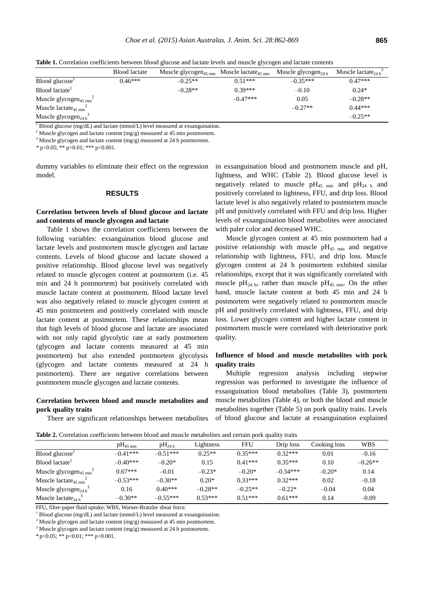**Table 1.** Correlation coefficients between blood glucose and lactate levels and muscle glycogen and lactate contents

|                                                | <b>Blood</b> lactate | Muscle glycogen <sub>45</sub> $_{min}$ | Muscle lactate <sub>45 min</sub> | Muscle glycogen <sub>24 h</sub> | Muscle lactate <sub>24b</sub> |
|------------------------------------------------|----------------------|----------------------------------------|----------------------------------|---------------------------------|-------------------------------|
| Blood glucose <sup>1</sup>                     | $0.46***$            | $-0.25**$                              | $0.51***$                        | $-0.35***$                      | $0.47***$                     |
| Blood lactate                                  |                      | $-0.28**$                              | $0.39***$                        | $-0.10$                         | $0.24*$                       |
| Muscle glycogen <sub>45 min</sub> <sup>2</sup> |                      |                                        | $-0.47***$                       | 0.05                            | $-0.28**$                     |
| Muscle lactate <sub>45 min</sub> <sup>2</sup>  |                      |                                        |                                  | $-0.27**$                       | $0.44***$                     |
| Muscle glycogen <sub>24 h</sub>                |                      |                                        |                                  |                                 | $-0.25**$                     |

 $1$  Blood glucose (mg/dL) and lactate (mmol/L) level measured at exsanguination.

 $2$  Muscle glycogen and lactate content (mg/g) measured at 45 min postmortem.

 $3$  Muscle glycogen and lactate content (mg/g) measured at 24 h postmortem.

*\** p<0.05; \*\* p<0.01; \*\*\* p<0.001.

dummy variables to eliminate their effect on the regression model.

#### **RESULTS**

# **Correlation between levels of blood glucose and lactate and contents of muscle glycogen and lactate**

Table 1 shows the correlation coefficients between the following variables: exsanguination blood glucose and lactate levels and postmortem muscle glycogen and lactate contents. Levels of blood glucose and lactate showed a positive relationship. Blood glucose level was negatively related to muscle glycogen content at postmortem (i.e. 45 min and 24 h postmortem) but positively correlated with muscle lactate content at postmortem. Blood lactate level was also negatively related to muscle glycogen content at 45 min postmortem and positively correlated with muscle lactate content at postmortem. These relationships mean that high levels of blood glucose and lactate are associated with not only rapid glycolytic rate at early postmortem (glycogen and lactate contents measured at 45 min postmortem) but also extended postmortem glycolysis (glycogen and lactate contents measured at 24 h postmortem). There are negative correlations between postmortem muscle glycogen and lactate contents.

# **Correlation between blood and muscle metabolites and pork quality traits**

There are significant relationships between metabolites

in exsanguination blood and postmortem muscle and pH, lightness, and WHC (Table 2). Blood glucose level is negatively related to muscle  $pH_{45 \text{ min}}$  and  $pH_{24 \text{ h}}$  and positively correlated to lightness, FFU, and drip loss. Blood lactate level is also negatively related to postmortem muscle pH and positively correlated with FFU and drip loss. Higher levels of exsanguination blood metabolites were associated with paler color and decreased WHC.

Muscle glycogen content at 45 min postmortem had a positive relationship with muscle  $pH_{45 \text{ min}}$  and negative relationship with lightness, FFU, and drip loss. Muscle glycogen content at 24 h postmortem exhibited similar relationships, except that it was significantly correlated with muscle pH<sub>24 h</sub>, rather than muscle pH<sub>45 min</sub>. On the other hand, muscle lactate content at both 45 min and 24 h postmortem were negatively related to postmortem muscle pH and positively correlated with lightness, FFU, and drip loss. Lower glycogen content and higher lactate content in postmortem muscle were correlated with deteriorative pork quality.

# **Influence of blood and muscle metabolites with pork quality traits**

Multiple regression analysis including stepwise regression was performed to investigate the influence of exsanguination blood metabolites (Table 3), postmortem muscle metabolites (Table 4), or both the blood and muscle metabolites together (Table 5) on pork quality traits. Levels of blood glucose and lactate at exsanguination explained

**Table 2.** Correlation coefficients between blood and muscle metabolites and certain pork quality traits

|                                                | $pH_{45 \text{ min}}$ | $pH_{24h}$ | Lightness | <b>FFU</b> | Drip loss  | Cooking loss | <b>WBS</b> |
|------------------------------------------------|-----------------------|------------|-----------|------------|------------|--------------|------------|
| Blood glucose <sup>1</sup>                     | $-0.41***$            | $-0.51***$ | $0.25**$  | $0.35***$  | $0.32***$  | 0.01         | $-0.16$    |
| Blood lactate <sup>1</sup>                     | $-0.40***$            | $-0.20*$   | 0.15      | $0.41***$  | $0.35***$  | 0.10         | $-0.26**$  |
| Muscle glycogen <sub>45 min</sub> <sup>2</sup> | $0.67***$             | $-0.01$    | $-0.23*$  | $-0.20*$   | $-0.34***$ | $-0.20*$     | 0.14       |
| Muscle lactate <sub>45 min</sub> <sup>2</sup>  | $-0.53***$            | $-0.30**$  | $0.20*$   | $0.33***$  | $0.32***$  | 0.02         | $-0.18$    |
| Muscle glycogen <sub>24 h</sub>                | 0.16                  | $0.40***$  | $-0.28**$ | $-0.25**$  | $-0.22*$   | $-0.04$      | 0.04       |
| Muscle lactate <sub>24 h</sub> <sup>3</sup>    | $-0.30**$             | $-0.55***$ | $0.53***$ | $0.51***$  | $0.61***$  | 0.14         | $-0.09$    |

FFU, filter-paper fluid uptake; WBS, Warner-Bratzler shear force.

 $1$  Blood glucose (mg/dL) and lactate (mmol/L) level measured at exsanguination.

<sup>2</sup> Muscle glycogen and lactate content (mg/g) measured at 45 min postmortem.

<sup>3</sup> Muscle glycogen and lactate content (mg/g) measured at 24 h postmortem.

\* p<0.05; \*\* p<0.01; \*\*\* p<0.001.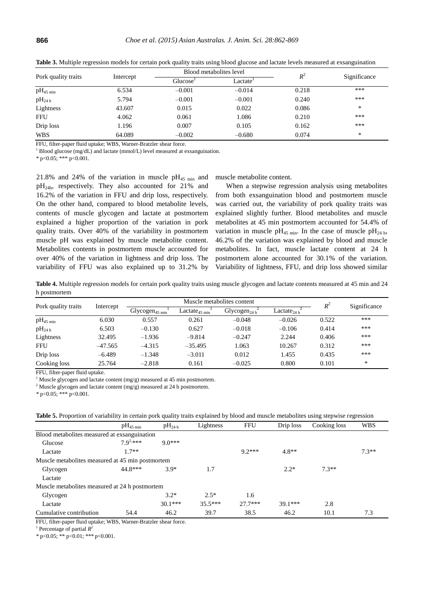| Pork quality traits   |           |                      | Blood metabolites level | $R^2$ |              |  |
|-----------------------|-----------|----------------------|-------------------------|-------|--------------|--|
|                       | Intercept | Glucose <sup>1</sup> | Lactate <sup>1</sup>    |       | Significance |  |
| $pH_{45 \text{ min}}$ | 6.534     | $-0.001$             | $-0.014$                | 0.218 | ***          |  |
| $pH_{24h}$            | 5.794     | $-0.001$             | $-0.001$                | 0.240 | ***          |  |
| Lightness             | 43.607    | 0.015                | 0.022                   | 0.086 | *            |  |
| <b>FFU</b>            | 4.062     | 0.061                | 1.086                   | 0.210 | ***          |  |
| Drip loss             | 1.196     | 0.007                | 0.105                   | 0.162 | ***          |  |
| <b>WBS</b>            | 64.089    | $-0.002$             | $-0.680$                | 0.074 | ∗            |  |

**Table 3.** Multiple regression models for certain pork quality traits using blood glucose and lactate levels measured at exsanguination

FFU, filter-paper fluid uptake; WBS, Warner-Bratzler shear force.

 $1$  Blood glucose (mg/dL) and lactate (mmol/L) level measured at exsanguination.

*\** p<0.05; \*\*\* p<0.001.

21.8% and 24% of the variation in muscle  $pH_{45 \text{ min}}$  and  $pH_{24h}$ , respectively. They also accounted for 21% and 16.2% of the variation in FFU and drip loss, respectively. On the other hand, compared to blood metabolite levels, contents of muscle glycogen and lactate at postmortem explained a higher proportion of the variation in pork quality traits. Over 40% of the variability in postmortem muscle pH was explained by muscle metabolite content. Metabolites contents in postmortem muscle accounted for over 40% of the variation in lightness and drip loss. The variability of FFU was also explained up to 31.2% by muscle metabolite content.

When a stepwise regression analysis using metabolites from both exsanguination blood and postmortem muscle was carried out, the variability of pork quality traits was explained slightly further. Blood metabolites and muscle metabolites at 45 min postmortem accounted for 54.4% of variation in muscle pH<sub>45 min</sub>. In the case of muscle pH<sub>24 h</sub>, 46.2% of the variation was explained by blood and muscle metabolites. In fact, muscle lactate content at 24 h postmortem alone accounted for 30.1% of the variation. Variability of lightness, FFU, and drip loss showed similar

**Table 4.** Multiple regression models for certain pork quality traits using muscle glycogen and lactate contents measured at 45 min and 24 h postmortem

| Pork quality traits |           | Muscle metabolites content |                                                |                          |                         |       | Significance |
|---------------------|-----------|----------------------------|------------------------------------------------|--------------------------|-------------------------|-------|--------------|
|                     | Intercept | Glycogen <sub>45 min</sub> | $\text{Lactate}_{45 \text{ min}}$ <sup>+</sup> | Glycogen <sub>24 h</sub> | Lactate <sub>24 h</sub> | $R^2$ |              |
| $pH_{45 \min}$      | 6.030     | 0.557                      | 0.261                                          | $-0.048$                 | $-0.026$                | 0.522 | ***          |
| $pH_{24h}$          | 6.503     | $-0.130$                   | 0.627                                          | $-0.018$                 | $-0.106$                | 0.414 | ***          |
| Lightness           | 32.495    | $-1.936$                   | $-9.814$                                       | $-0.247$                 | 2.244                   | 0.406 | ***          |
| <b>FFU</b>          | $-47.565$ | $-4.315$                   | $-35.495$                                      | 1.063                    | 10.267                  | 0.312 | ***          |
| Drip loss           | $-6.489$  | $-1.348$                   | $-3.011$                                       | 0.012                    | 1.455                   | 0.435 | ***          |
| Cooking loss        | 25.764    | $-2.818$                   | 0.161                                          | $-0.025$                 | 0.800                   | 0.101 | ∗            |

FFU, filter-paper fluid uptake.

<sup>1</sup> Muscle glycogen and lactate content  $(mg/g)$  measured at 45 min postmortem.

<sup>2</sup> Muscle glycogen and lactate content (mg/g) measured at 24 h postmortem.

*\** p<0.05; \*\*\* p<0.001.

|                                                  | $\rm{pH}_{45\,\rm{min}}$ | $pH_{24h}$ | Lightness | <b>FFU</b> | Drip loss | Cooking loss | <b>WBS</b> |  |  |
|--------------------------------------------------|--------------------------|------------|-----------|------------|-----------|--------------|------------|--|--|
| Blood metabolites measured at exsanguination     |                          |            |           |            |           |              |            |  |  |
| Glucose                                          | 7 $9^{1,***}$            | $90***$    |           |            |           |              |            |  |  |
| Lactate                                          | $1.7**$                  |            |           | $9.2***$   | $4.8**$   |              | $7.3**$    |  |  |
| Muscle metabolites measured at 45 min postmortem |                          |            |           |            |           |              |            |  |  |
| Glycogen                                         | 44.8***                  | $3.9*$     | 1.7       |            | $2.2*$    | $7.3**$      |            |  |  |
| Lactate                                          |                          |            |           |            |           |              |            |  |  |
| Muscle metabolites measured at 24 h postmortem   |                          |            |           |            |           |              |            |  |  |
| Glycogen                                         |                          | $3.2*$     | $2.5*$    | 1.6        |           |              |            |  |  |
| Lactate                                          |                          | $30.1***$  | $35.5***$ | $27.7***$  | $39.1***$ | 2.8          |            |  |  |
| Cumulative contribution                          | 54.4                     | 46.2       | 39.7      | 38.5       | 46.2      | 10.1         | 7.3        |  |  |

FFU, filter-paper fluid uptake; WBS, Warner-Bratzler shear force.

<sup>1</sup> Percentage of partial  $R^2$ 

*\** p<0.05; \*\* p<0.01; \*\*\* p<0.001.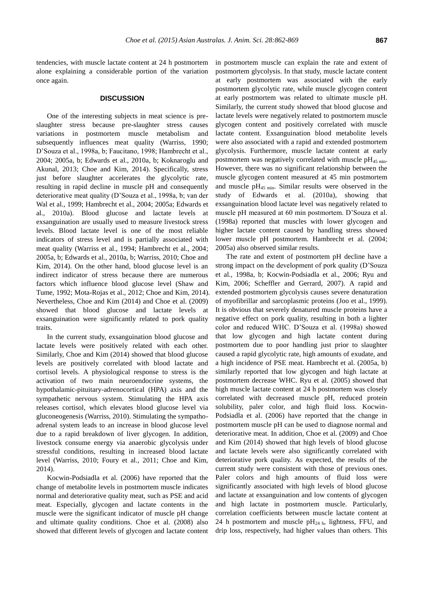tendencies, with muscle lactate content at 24 h postmortem alone explaining a considerable portion of the variation once again.

# **DISCUSSION**

One of the interesting subjects in meat science is preslaughter stress because pre-slaughter stress causes variations in postmortem muscle metabolism and subsequently influences meat quality (Warriss, 1990; D'Souza et al., 1998a, b; Faucitano, 1998; Hambrecht et al., 2004; 2005a, b; Edwards et al., 2010a, b; Koknaroglu and Akunal, 2013; Choe and Kim, 2014). Specifically, stress just before slaughter accelerates the glycolytic rate, resulting in rapid decline in muscle pH and consequently deteriorative meat quality (D'Souza et al., 1998a, b; van der Wal et al., 1999; Hambrecht et al., 2004; 2005a; Edwards et al., 2010a). Blood glucose and lactate levels at exsanguination are usually used to measure livestock stress levels. Blood lactate level is one of the most reliable indicators of stress level and is partially associated with meat quality (Warriss et al., 1994; Hambrecht et al., 2004; 2005a, b; Edwards et al., 2010a, b; Warriss, 2010; Choe and Kim, 2014). On the other hand, blood glucose level is an indirect indicator of stress because there are numerous factors which influence blood glucose level (Shaw and Tume, 1992; Mota-Rojas et al., 2012; Choe and Kim, 2014). Nevertheless, Choe and Kim (2014) and Choe et al. (2009) showed that blood glucose and lactate levels at exsanguination were significantly related to pork quality traits.

In the current study, exsanguination blood glucose and lactate levels were positively related with each other. Similarly, Choe and Kim (2014) showed that blood glucose levels are positively correlated with blood lactate and cortisol levels. A physiological response to stress is the activation of two main neuroendocrine systems, the hypothalamic-pituitary-adrenocortical (HPA) axis and the sympathetic nervous system. Stimulating the HPA axis releases cortisol, which elevates blood glucose level via gluconeogenesis (Warriss, 2010). Stimulating the sympathoadrenal system leads to an increase in blood glucose level due to a rapid breakdown of liver glycogen. In addition, livestock consume energy via anaerobic glycolysis under stressful conditions, resulting in increased blood lactate level (Warriss, 2010; Foury et al., 2011; Choe and Kim, 2014).

Kocwin-Podsiadla et al. (2006) have reported that the change of metabolite levels in postmortem muscle indicates normal and deteriorative quality meat, such as PSE and acid meat. Especially, glycogen and lactate contents in the muscle were the significant indicator of muscle pH change and ultimate quality conditions. Choe et al. (2008) also showed that different levels of glycogen and lactate content in postmortem muscle can explain the rate and extent of postmortem glycolysis. In that study, muscle lactate content at early postmortem was associated with the early postmortem glycolytic rate, while muscle glycogen content at early postmortem was related to ultimate muscle pH. Similarly, the current study showed that blood glucose and lactate levels were negatively related to postmortem muscle glycogen content and positively correlated with muscle lactate content. Exsanguination blood metabolite levels were also associated with a rapid and extended postmortem glycolysis. Furthermore, muscle lactate content at early postmortem was negatively correlated with muscle  $pH_{45 \text{ min}}$ . However, there was no significant relationship between the muscle glycogen content measured at 45 min postmortem and muscle  $pH_{45 \text{ min}}$ . Similar results were observed in the study of Edwards et al. (2010a), showing that exsanguination blood lactate level was negatively related to muscle pH measured at 60 min postmortem. D'Souza et al. (1998a) reported that muscles with lower glycogen and higher lactate content caused by handling stress showed lower muscle pH postmortem. Hambrecht et al. (2004; 2005a) also observed similar results.

The rate and extent of postmortem pH decline have a strong impact on the development of pork quality (D'Souza et al., 1998a, b; Kocwin-Podsiadla et al., 2006; Ryu and Kim, 2006; Scheffler and Gerrard, 2007). A rapid and extended postmortem glycolysis causes severe denaturation of myofibrillar and sarcoplasmic proteins (Joo et al., 1999). It is obvious that severely denatured muscle proteins have a negative effect on pork quality, resulting in both a lighter color and reduced WHC. D'Souza et al. (1998a) showed that low glycogen and high lactate content during postmortem due to poor handling just prior to slaughter caused a rapid glycolytic rate, high amounts of exudate, and a high incidence of PSE meat. Hambrecht et al. (2005a, b) similarly reported that low glycogen and high lactate at postmortem decrease WHC. Ryu et al. (2005) showed that high muscle lactate content at 24 h postmortem was closely correlated with decreased muscle pH, reduced protein solubility, paler color, and high fluid loss. Kocwin-Podsiadla et al. (2006) have reported that the change in postmortem muscle pH can be used to diagnose normal and deteriorative meat. In addition, Choe et al. (2009) and Choe and Kim (2014) showed that high levels of blood glucose and lactate levels were also significantly correlated with deteriorative pork quality. As expected, the results of the current study were consistent with those of previous ones. Paler colors and high amounts of fluid loss were significantly associated with high levels of blood glucose and lactate at exsanguination and low contents of glycogen and high lactate in postmortem muscle. Particularly, correlation coefficients between muscle lactate content at 24 h postmortem and muscle  $pH_{24 h}$ , lightness, FFU, and drip loss, respectively, had higher values than others. This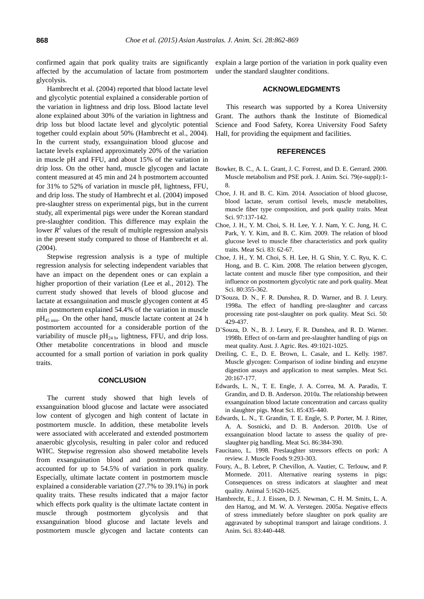confirmed again that pork quality traits are significantly affected by the accumulation of lactate from postmortem glycolysis.

Hambrecht et al. (2004) reported that blood lactate level and glycolytic potential explained a considerable portion of the variation in lightness and drip loss. Blood lactate level alone explained about 30% of the variation in lightness and drip loss but blood lactate level and glycolytic potential together could explain about 50% (Hambrecht et al., 2004). In the current study, exsanguination blood glucose and lactate levels explained approximately 20% of the variation in muscle pH and FFU, and about 15% of the variation in drip loss. On the other hand, muscle glycogen and lactate content measured at 45 min and 24 h postmortem accounted for 31% to 52% of variation in muscle pH, lightness, FFU, and drip loss. The study of Hambrecht et al. (2004) imposed pre-slaughter stress on experimental pigs, but in the current study, all experimental pigs were under the Korean standard pre-slaughter condition. This difference may explain the lower  $R<sup>2</sup>$  values of the result of multiple regression analysis in the present study compared to those of Hambrecht et al. (2004).

Stepwise regression analysis is a type of multiple regression analysis for selecting independent variables that have an impact on the dependent ones or can explain a higher proportion of their variation (Lee et al., 2012). The current study showed that levels of blood glucose and lactate at exsanguination and muscle glycogen content at 45 min postmortem explained 54.4% of the variation in muscle  $pH_{45 \text{ min}}$ . On the other hand, muscle lactate content at 24 h postmortem accounted for a considerable portion of the variability of muscle  $pH_{24 h}$ , lightness, FFU, and drip loss. Other metabolite concentrations in blood and muscle accounted for a small portion of variation in pork quality traits.

#### **CONCLUSION**

The current study showed that high levels of exsanguination blood glucose and lactate were associated low content of glycogen and high content of lactate in postmortem muscle. In addition, these metabolite levels were associated with accelerated and extended postmortem anaerobic glycolysis, resulting in paler color and reduced WHC. Stepwise regression also showed metabolite levels from exsanguination blood and postmortem muscle accounted for up to 54.5% of variation in pork quality. Especially, ultimate lactate content in postmortem muscle explained a considerable variation (27.7% to 39.1%) in pork quality traits. These results indicated that a major factor which effects pork quality is the ultimate lactate content in muscle through postmortem glycolysis and that exsanguination blood glucose and lactate levels and postmortem muscle glycogen and lactate contents can

explain a large portion of the variation in pork quality even under the standard slaughter conditions.

## **ACKNOWLEDGMENTS**

This research was supported by a Korea University Grant. The authors thank the Institute of Biomedical Science and Food Safety, Korea University Food Safety Hall, for providing the equipment and facilities.

# **REFERENCES**

- Bowker, B. C., A. L. Grant, J. C. Forrest, and D. E. Gerrard. 2000. Muscle metabolism and PSE pork. J. Anim. Sci. 79(e-suppl):1- 8.
- Choe, J. H. and B. C. Kim. 2014. [Association of blood glucose,](Association%20of%20blood%20glucose,%20blood%20lactate,%20serum%20cortisol%20levels,%20muscle%20metabolites,%20muscle%20fiber%20type%20composition,%20and%20pork%20quality%20traits)  [blood lactate, serum cortisol levels, muscle metabolites,](Association%20of%20blood%20glucose,%20blood%20lactate,%20serum%20cortisol%20levels,%20muscle%20metabolites,%20muscle%20fiber%20type%20composition,%20and%20pork%20quality%20traits)  [muscle fiber type composition, and pork quality traits.](Association%20of%20blood%20glucose,%20blood%20lactate,%20serum%20cortisol%20levels,%20muscle%20metabolites,%20muscle%20fiber%20type%20composition,%20and%20pork%20quality%20traits) Meat Sci. 97:137-142.
- Choe, J. H., Y. M. Choi, S. H. Lee, Y. J. Nam, Y. C. Jung, H. C. Park, Y. Y. Kim, and B. C. Kim. 2009. [The relation of blood](http://www.sciencedirect.com/science/article/pii/S0309174009000898)  [glucose level to muscle fiber characteristics and pork quality](http://www.sciencedirect.com/science/article/pii/S0309174009000898)  [traits.](http://www.sciencedirect.com/science/article/pii/S0309174009000898) Meat Sci. 83: 62-67.
- Choe, J. H., Y. M. Choi, S. H. Lee, H. G. Shin, Y. C. Ryu, K. C. Hong, and B. C. Kim. 2008. [The relation between glycogen,](http://www.sciencedirect.com/science/article/pii/S0309174007004214)  [lactate content and muscle fiber type composition, and their](http://www.sciencedirect.com/science/article/pii/S0309174007004214)  [influence on postmortem glycolytic rate and pork quality.](http://www.sciencedirect.com/science/article/pii/S0309174007004214) Meat Sci. 80:355-362.
- D'Souza, D. N., F. R. Dunshea, R. D. Warner, and B. J. Leury. 1998a. [The effect of handling pre-slaughter and carcass](http://www.sciencedirect.com/science/article/pii/S0309174098000552)  [processing rate post-slaughter on pork quality.](http://www.sciencedirect.com/science/article/pii/S0309174098000552) Meat Sci. 50: 429-437.
- D'Souza, D. N., B. J. Leury, F. R. Dunshea, and R. D. Warner. 1998b[. Effect of on-farm and pre-slaughter handling of pigs on](http://www.publish.csiro.au/paper/A98010.htm)  [meat quality.](http://www.publish.csiro.au/paper/A98010.htm) Aust. J. Agric. Res. 49:1021-1025.
- Dreiling, C. E., D. E. Brown, L. Casale, and L. Kelly. 1987. [Muscle glycogen: Comparison of iodine binding and enzyme](http://www.sciencedirect.com/science/article/pii/030917408790009X)  [digestion assays and application to meat samples.](http://www.sciencedirect.com/science/article/pii/030917408790009X) Meat Sci. 20:167-177.
- Edwards, L. N., T. E. Engle, J. A. Correa, M. A. Paradis, T. Grandin, and D. B. Anderson. 2010a[. The relationship between](http://www.sciencedirect.com/science/article/pii/S030917401000046X)  [exsanguination blood lactate concentration and carcass quality](http://www.sciencedirect.com/science/article/pii/S030917401000046X)  [in slaughter pigs.](http://www.sciencedirect.com/science/article/pii/S030917401000046X) Meat Sci. 85:435-440.
- Edwards, L. N., T. Grandin, T. E. Engle, S. P. Porter, M. J. Ritter, A. A. Sosnicki, and D. B. Anderson. 2010b. [Use of](http://www.sciencedirect.com/science/article/pii/S030917401000207X)  [exsanguination blood lactate to assess the quality of pre](http://www.sciencedirect.com/science/article/pii/S030917401000207X)[slaughter pig handling.](http://www.sciencedirect.com/science/article/pii/S030917401000207X) Meat Sci. 86:384-390.
- Faucitano, L. 1998. [Preslaughter stressors effects on pork: A](http://onlinelibrary.wiley.com/doi/10.1111/j.1745-4573.1998.tb00662.x/abstract)  [review.](http://onlinelibrary.wiley.com/doi/10.1111/j.1745-4573.1998.tb00662.x/abstract) J. Muscle Foods 9:293-303.
- Foury, A., B. Lebret, P. Chevillon, A. Vautier, C. Terlouw, and P. Mormede. 2011. [Alternative rearing systems in pigs:](http://journals.cambridge.org/action/displayAbstract?fromPage=online&aid=8361096&fileId=S1751731111000784)  [Consequences on stress indicators at slaughter and meat](http://journals.cambridge.org/action/displayAbstract?fromPage=online&aid=8361096&fileId=S1751731111000784)  [quality.](http://journals.cambridge.org/action/displayAbstract?fromPage=online&aid=8361096&fileId=S1751731111000784) Animal 5:1620-1625.
- Hambrecht, E., J. J. Eissen, D. J. Newman, C. H. M. Smits, L. A. den Hartog, and M. W. A. Verstegen. 2005a. [Negative effects](http://www.ncbi.nlm.nih.gov/pubmed/15644517)  [of stress immediately before slaughter on pork quality are](http://www.ncbi.nlm.nih.gov/pubmed/15644517)  [aggravated by suboptimal transport and lairage conditions.](http://www.ncbi.nlm.nih.gov/pubmed/15644517) J. Anim. Sci. 83:440-448.